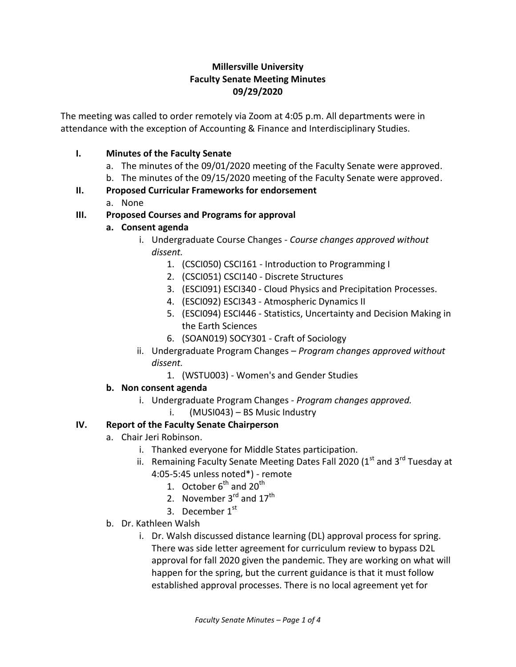## **Millersville University Faculty Senate Meeting Minutes 09/29/2020**

The meeting was called to order remotely via Zoom at 4:05 p.m. All departments were in attendance with the exception of Accounting & Finance and Interdisciplinary Studies.

## **I. Minutes of the Faculty Senate**

- a. The minutes of the 09/01/2020 meeting of the Faculty Senate were approved.
- b. The minutes of the 09/15/2020 meeting of the Faculty Senate were approved.

### **II. Proposed Curricular Frameworks for endorsement**

a. None

## **III. Proposed Courses and Programs for approval**

- **a. Consent agenda**
	- i. Undergraduate Course Changes *Course changes approved without dissent.*
		- 1. (CSCI050) CSCI161 Introduction to Programming I
		- 2. (CSCI051) CSCI140 Discrete Structures
		- 3. (ESCI091) ESCI340 Cloud Physics and Precipitation Processes.
		- 4. (ESCI092) ESCI343 Atmospheric Dynamics II
		- 5. (ESCI094) ESCI446 Statistics, Uncertainty and Decision Making in the Earth Sciences
		- 6. (SOAN019) SOCY301 Craft of Sociology
	- ii. Undergraduate Program Changes *Program changes approved without dissent.*
		- 1. (WSTU003) Women's and Gender Studies

## **b. Non consent agenda**

- i. Undergraduate Program Changes *Program changes approved.*
	- i. (MUSI043) BS Music Industry

## **IV. Report of the Faculty Senate Chairperson**

- a. Chair Jeri Robinson.
	- i. Thanked everyone for Middle States participation.
	- ii. Remaining Faculty Senate Meeting Dates Fall 2020 (1st and 3<sup>rd</sup> Tuesday at 4:05-5:45 unless noted\*) - remote
		- 1. October  $6^{th}$  and  $20^{th}$
		- 2. November  $3^{rd}$  and  $17^{th}$
		- 3. December 1st
- b. Dr. Kathleen Walsh
	- i. Dr. Walsh discussed distance learning (DL) approval process for spring. There was side letter agreement for curriculum review to bypass D2L approval for fall 2020 given the pandemic. They are working on what will happen for the spring, but the current guidance is that it must follow established approval processes. There is no local agreement yet for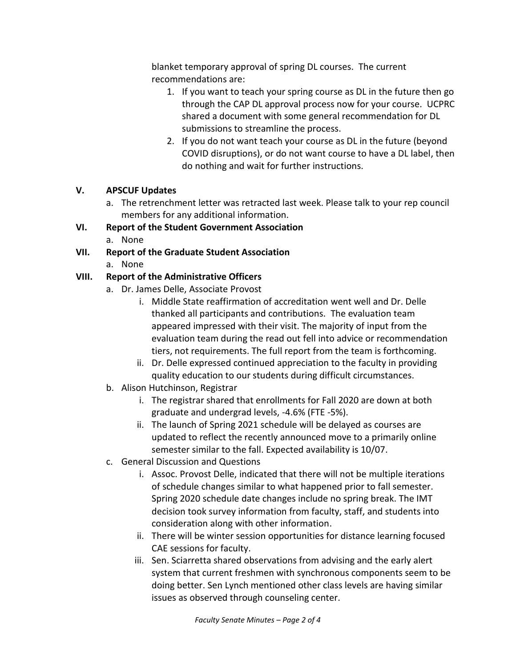blanket temporary approval of spring DL courses. The current recommendations are:

- 1. If you want to teach your spring course as DL in the future then go through the CAP DL approval process now for your course. UCPRC shared a document with some general recommendation for DL submissions to streamline the process.
- 2. If you do not want teach your course as DL in the future (beyond COVID disruptions), or do not want course to have a DL label, then do nothing and wait for further instructions.

### **V. APSCUF Updates**

a. The retrenchment letter was retracted last week. Please talk to your rep council members for any additional information.

## **VI. Report of the Student Government Association**

a. None

## **VII. Report of the Graduate Student Association**

a. None

## **VIII. Report of the Administrative Officers**

- a. Dr. James Delle, Associate Provost
	- i. Middle State reaffirmation of accreditation went well and Dr. Delle thanked all participants and contributions. The evaluation team appeared impressed with their visit. The majority of input from the evaluation team during the read out fell into advice or recommendation tiers, not requirements. The full report from the team is forthcoming.
	- ii. Dr. Delle expressed continued appreciation to the faculty in providing quality education to our students during difficult circumstances.
- b. Alison Hutchinson, Registrar
	- i. The registrar shared that enrollments for Fall 2020 are down at both graduate and undergrad levels, -4.6% (FTE -5%).
	- ii. The launch of Spring 2021 schedule will be delayed as courses are updated to reflect the recently announced move to a primarily online semester similar to the fall. Expected availability is 10/07.
- c. General Discussion and Questions
	- i. Assoc. Provost Delle, indicated that there will not be multiple iterations of schedule changes similar to what happened prior to fall semester. Spring 2020 schedule date changes include no spring break. The IMT decision took survey information from faculty, staff, and students into consideration along with other information.
	- ii. There will be winter session opportunities for distance learning focused CAE sessions for faculty.
	- iii. Sen. Sciarretta shared observations from advising and the early alert system that current freshmen with synchronous components seem to be doing better. Sen Lynch mentioned other class levels are having similar issues as observed through counseling center.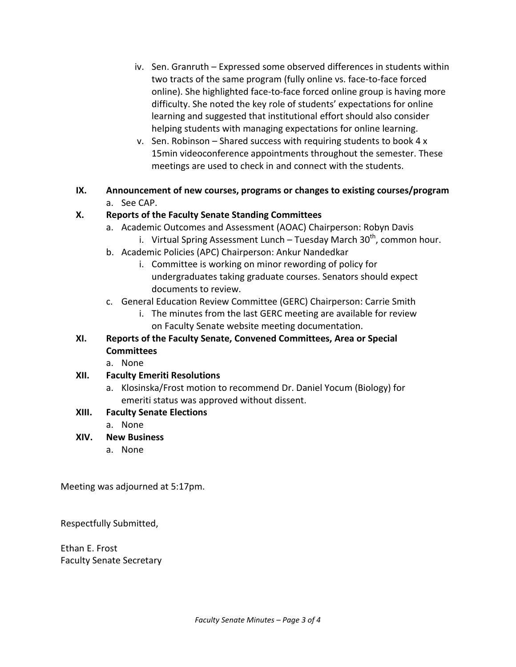- iv. Sen. Granruth Expressed some observed differences in students within two tracts of the same program (fully online vs. face-to-face forced online). She highlighted face-to-face forced online group is having more difficulty. She noted the key role of students' expectations for online learning and suggested that institutional effort should also consider helping students with managing expectations for online learning.
- v. Sen. Robinson Shared success with requiring students to book 4 x 15min videoconference appointments throughout the semester. These meetings are used to check in and connect with the students.
- **IX. Announcement of new courses, programs or changes to existing courses/program** a. See CAP.

### **X. Reports of the Faculty Senate Standing Committees**

- a. Academic Outcomes and Assessment (AOAC) Chairperson: Robyn Davis
	- i. Virtual Spring Assessment Lunch Tuesday March 30<sup>th</sup>, common hour.
- b. Academic Policies (APC) Chairperson: Ankur Nandedkar
	- i. Committee is working on minor rewording of policy for undergraduates taking graduate courses. Senators should expect documents to review.
- c. General Education Review Committee (GERC) Chairperson: Carrie Smith
	- i. The minutes from the last GERC meeting are available for review on Faculty Senate website meeting documentation.

# **XI. Reports of the Faculty Senate, Convened Committees, Area or Special Committees**

a. None

## **XII. Faculty Emeriti Resolutions**

a. Klosinska/Frost motion to recommend Dr. Daniel Yocum (Biology) for emeriti status was approved without dissent.

## **XIII. Faculty Senate Elections**

a. None

## **XIV. New Business**

a. None

Meeting was adjourned at 5:17pm.

Respectfully Submitted,

Ethan E. Frost Faculty Senate Secretary